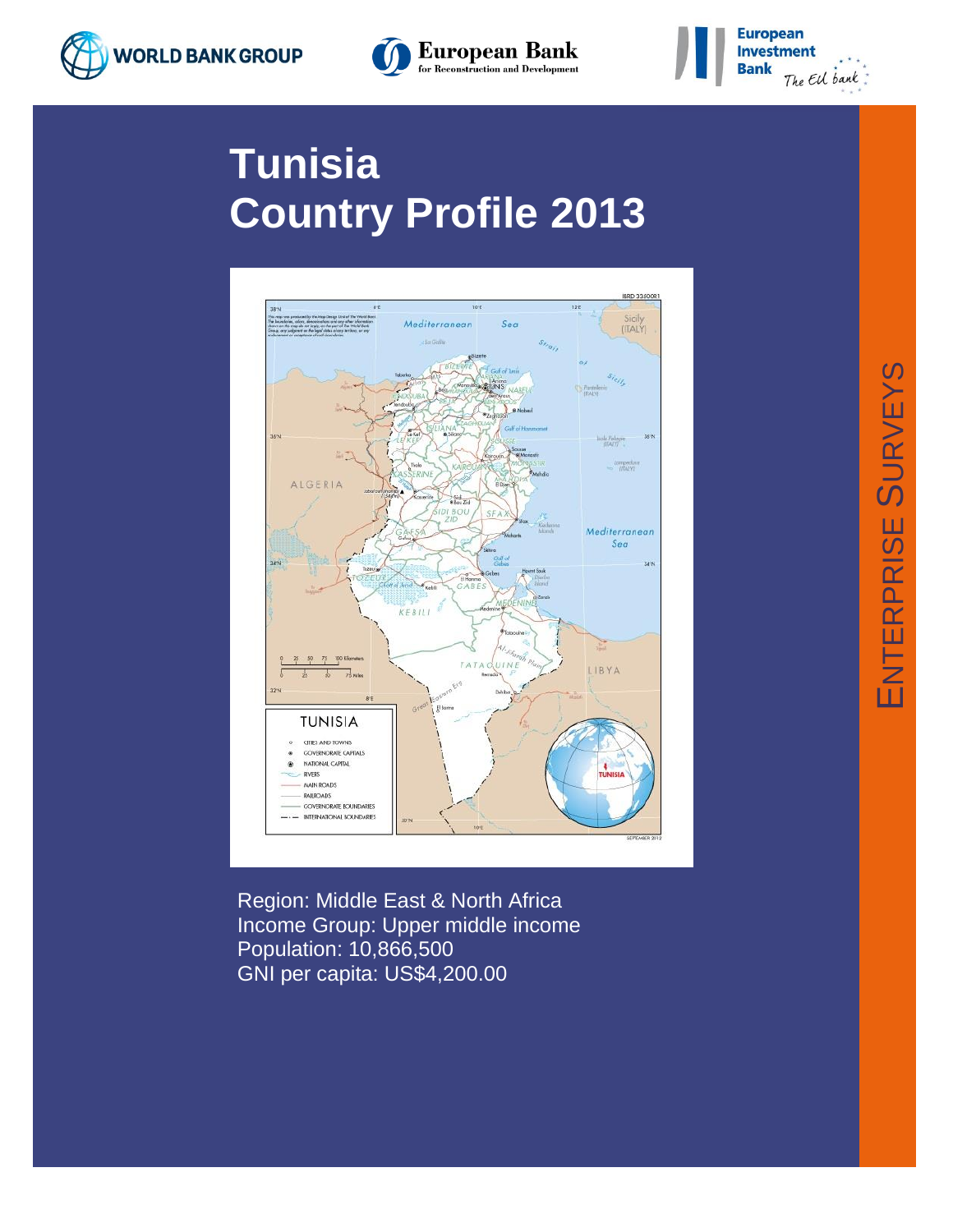





# **Tunisia Country Profile 2013**



Region: Middle East & North Africa Income Group: Upper middle income Population: 10,866,500 GNI per capita: US\$4,200.00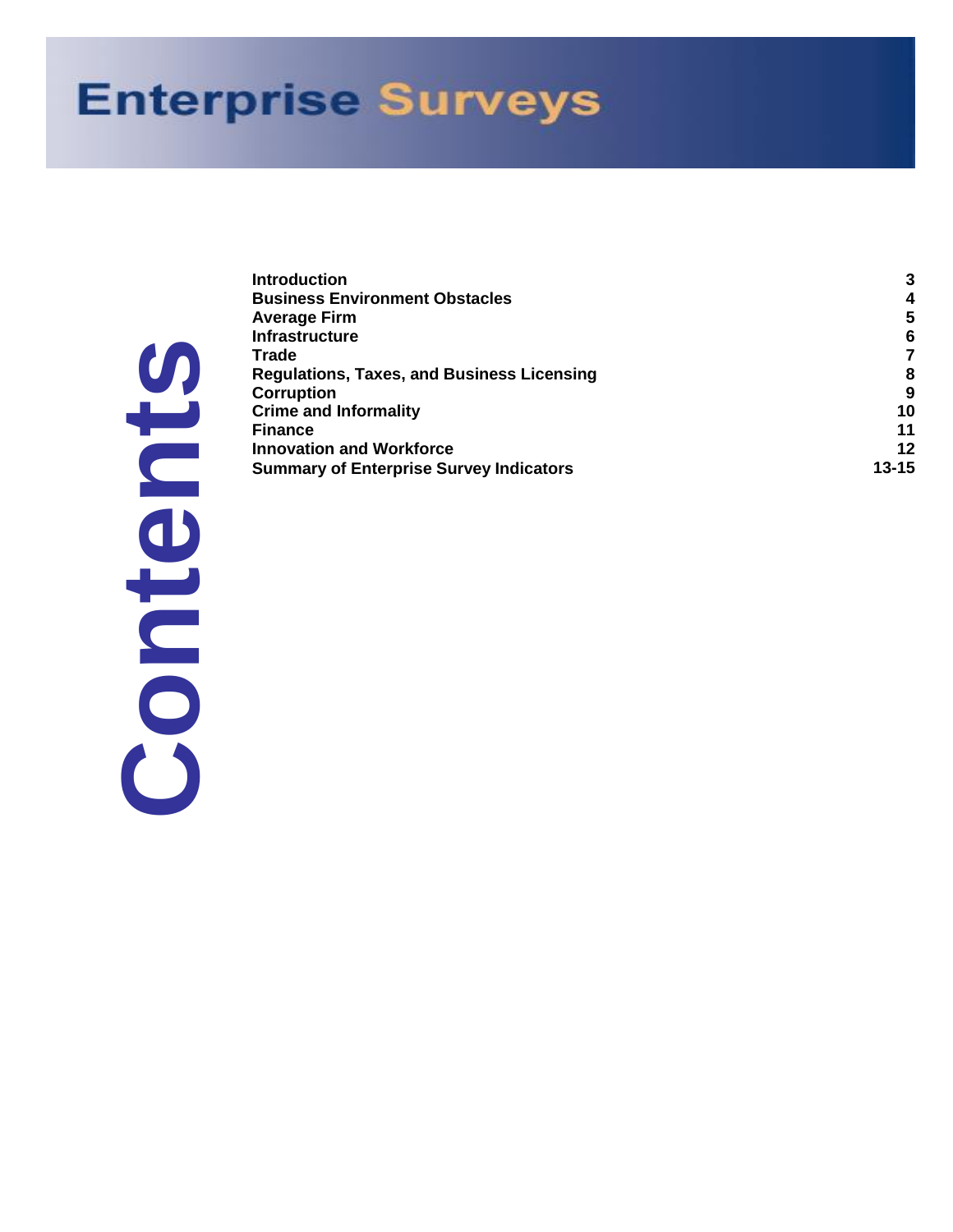# **Enterprise Surveys**

|                          | ۳          |
|--------------------------|------------|
| C<br>$\overline{\bm{P}}$ | AITRCCFIIS |
|                          |            |
|                          |            |
| C<br>Ь                   |            |
|                          |            |
|                          |            |
|                          |            |
|                          |            |
|                          |            |
|                          |            |

|   | <b>Introduction</b>                               | 3         |
|---|---------------------------------------------------|-----------|
|   | <b>Business Environment Obstacles</b>             | 4         |
|   | <b>Average Firm</b>                               | 5         |
|   | <b>Infrastructure</b>                             | 6         |
|   | <b>Trade</b>                                      |           |
| U | <b>Regulations, Taxes, and Business Licensing</b> | 8         |
|   | <b>Corruption</b>                                 | 9         |
|   | <b>Crime and Informality</b>                      | 10        |
|   | <b>Finance</b>                                    | 11        |
|   | <b>Innovation and Workforce</b>                   | 12        |
|   | <b>Summary of Enterprise Survey Indicators</b>    | $13 - 15$ |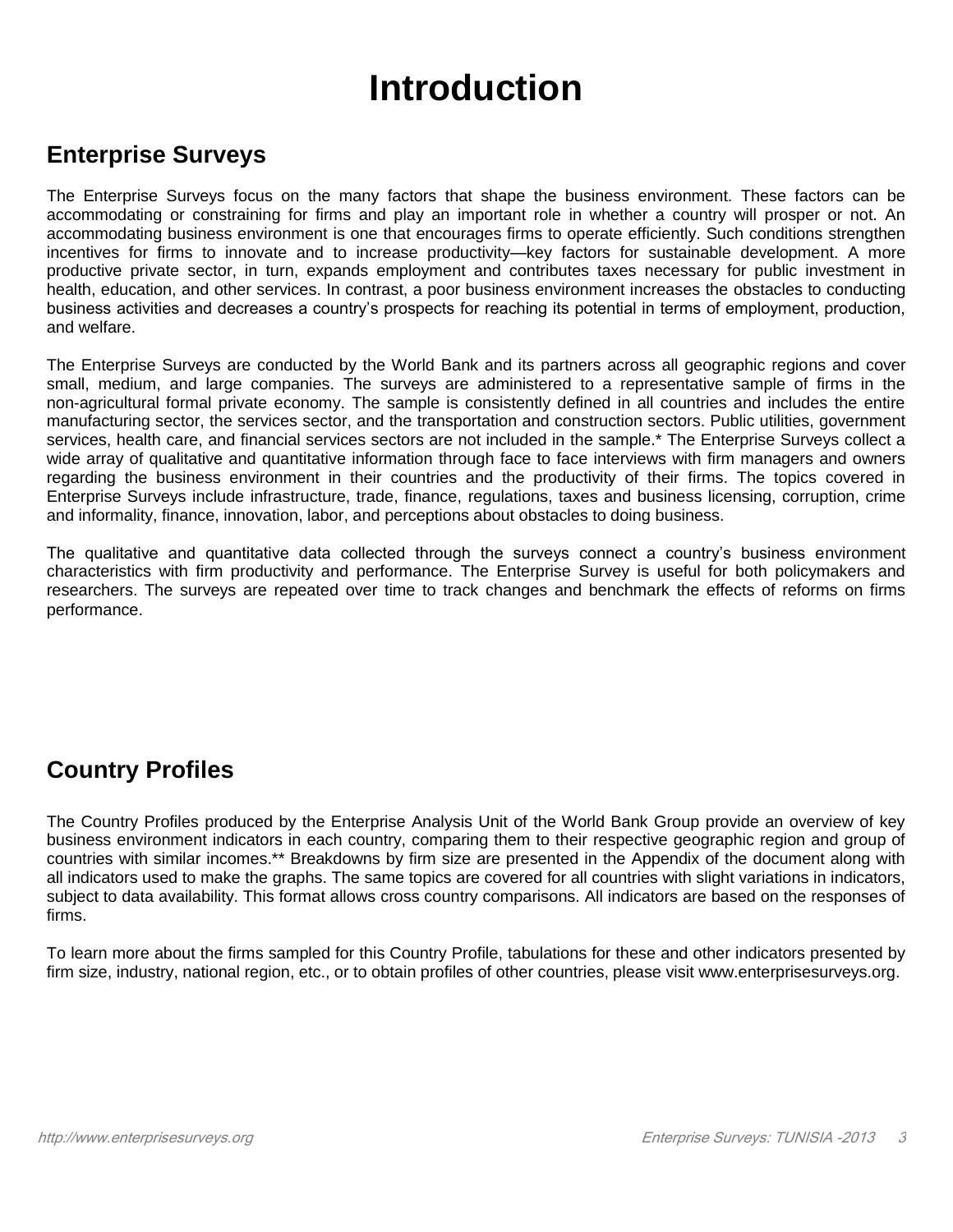## **Introduction**

#### **Enterprise Surveys**

The Enterprise Surveys focus on the many factors that shape the business environment. These factors can be accommodating or constraining for firms and play an important role in whether a country will prosper or not. An accommodating business environment is one that encourages firms to operate efficiently. Such conditions strengthen incentives for firms to innovate and to increase productivity—key factors for sustainable development. A more productive private sector, in turn, expands employment and contributes taxes necessary for public investment in health, education, and other services. In contrast, a poor business environment increases the obstacles to conducting business activities and decreases a country's prospects for reaching its potential in terms of employment, production, and welfare.

The Enterprise Surveys are conducted by the World Bank and its partners across all geographic regions and cover small, medium, and large companies. The surveys are administered to a representative sample of firms in the non-agricultural formal private economy. The sample is consistently defined in all countries and includes the entire manufacturing sector, the services sector, and the transportation and construction sectors. Public utilities, government services, health care, and financial services sectors are not included in the sample.\* The Enterprise Surveys collect a wide array of qualitative and quantitative information through face to face interviews with firm managers and owners regarding the business environment in their countries and the productivity of their firms. The topics covered in Enterprise Surveys include infrastructure, trade, finance, regulations, taxes and business licensing, corruption, crime and informality, finance, innovation, labor, and perceptions about obstacles to doing business.

The qualitative and quantitative data collected through the surveys connect a country's business environment characteristics with firm productivity and performance. The Enterprise Survey is useful for both policymakers and researchers. The surveys are repeated over time to track changes and benchmark the effects of reforms on firms performance.

### **Country Profiles**

The Country Profiles produced by the Enterprise Analysis Unit of the World Bank Group provide an overview of key business environment indicators in each country, comparing them to their respective geographic region and group of countries with similar incomes.\*\* Breakdowns by firm size are presented in the Appendix of the document along with all indicators used to make the graphs. The same topics are covered for all countries with slight variations in indicators, subject to data availability. This format allows cross country comparisons. All indicators are based on the responses of firms.

To learn more about the firms sampled for this Country Profile, tabulations for these and other indicators presented by firm size, industry, national region, etc., or to obtain profiles of other countries, please visit www.enterprisesurveys.org.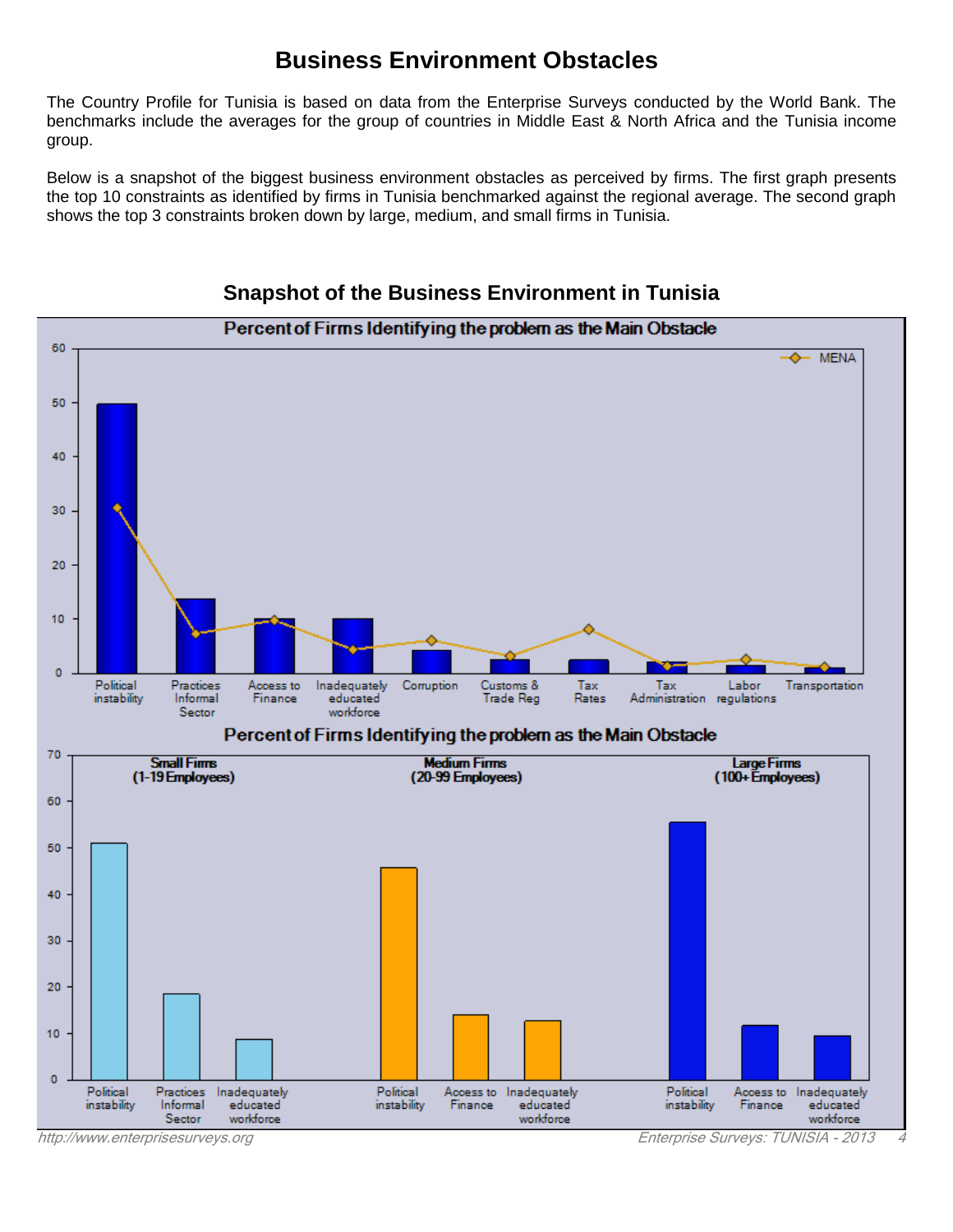#### **Business Environment Obstacles**

The Country Profile for Tunisia is based on data from the Enterprise Surveys conducted by the World Bank. The benchmarks include the averages for the group of countries in Middle East & North Africa and the Tunisia income group.

Below is a snapshot of the biggest business environment obstacles as perceived by firms. The first graph presents the top 10 constraints as identified by firms in Tunisia benchmarked against the regional average. The second graph shows the top 3 constraints broken down by large, medium, and small firms in Tunisia.



#### **Snapshot of the Business Environment in Tunisia**

[http://www.enterprisesurveys.org](http://www.enterprisesurveys.org/) Enterprise Surveys: TUNISIA - 2013 4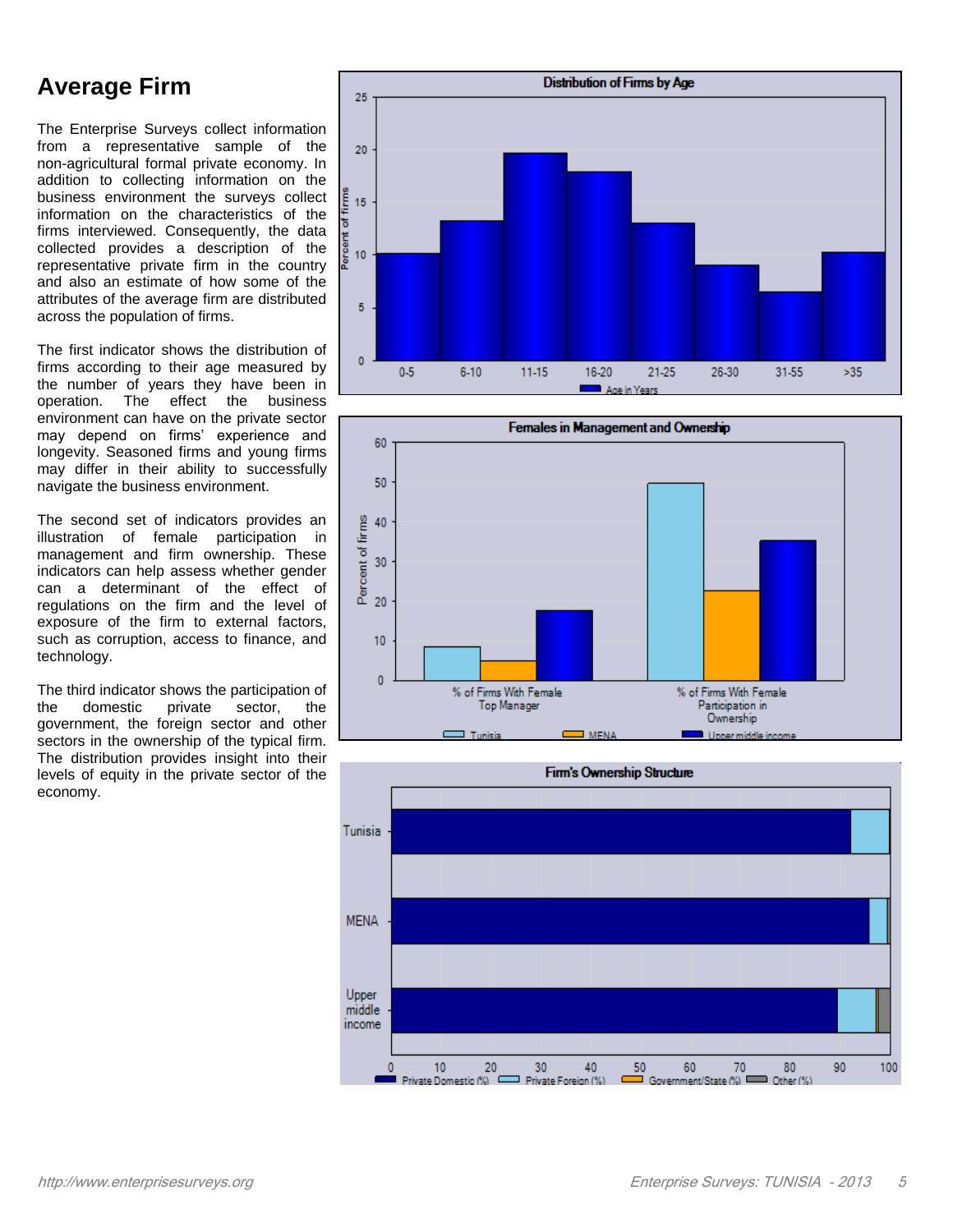### **Average Firm**

The Enterprise Surveys collect information from a representative sample of the non-agricultural formal private economy. In addition to collecting information on the business environment the surveys collect information on the characteristics of the firms interviewed. Consequently, the data collected provides a description of the representative private firm in the country and also an estimate of how some of the attributes of the average firm are distributed across the population of firms.

The first indicator shows the distribution of firms according to their age measured by the number of years they have been in operation. The effect the business environment can have on the private sector may depend on firms' experience and longevity. Seasoned firms and young firms may differ in their ability to successfully navigate the business environment.

The second set of indicators provides an illustration of female participation in management and firm ownership. These indicators can help assess whether gender can a determinant of the effect of regulations on the firm and the level of exposure of the firm to external factors, such as corruption, access to finance, and technology.

The third indicator shows the participation of the domestic private sector, the government, the foreign sector and other sectors in the ownership of the typical firm. The distribution provides insight into their levels of equity in the private sector of the economy.





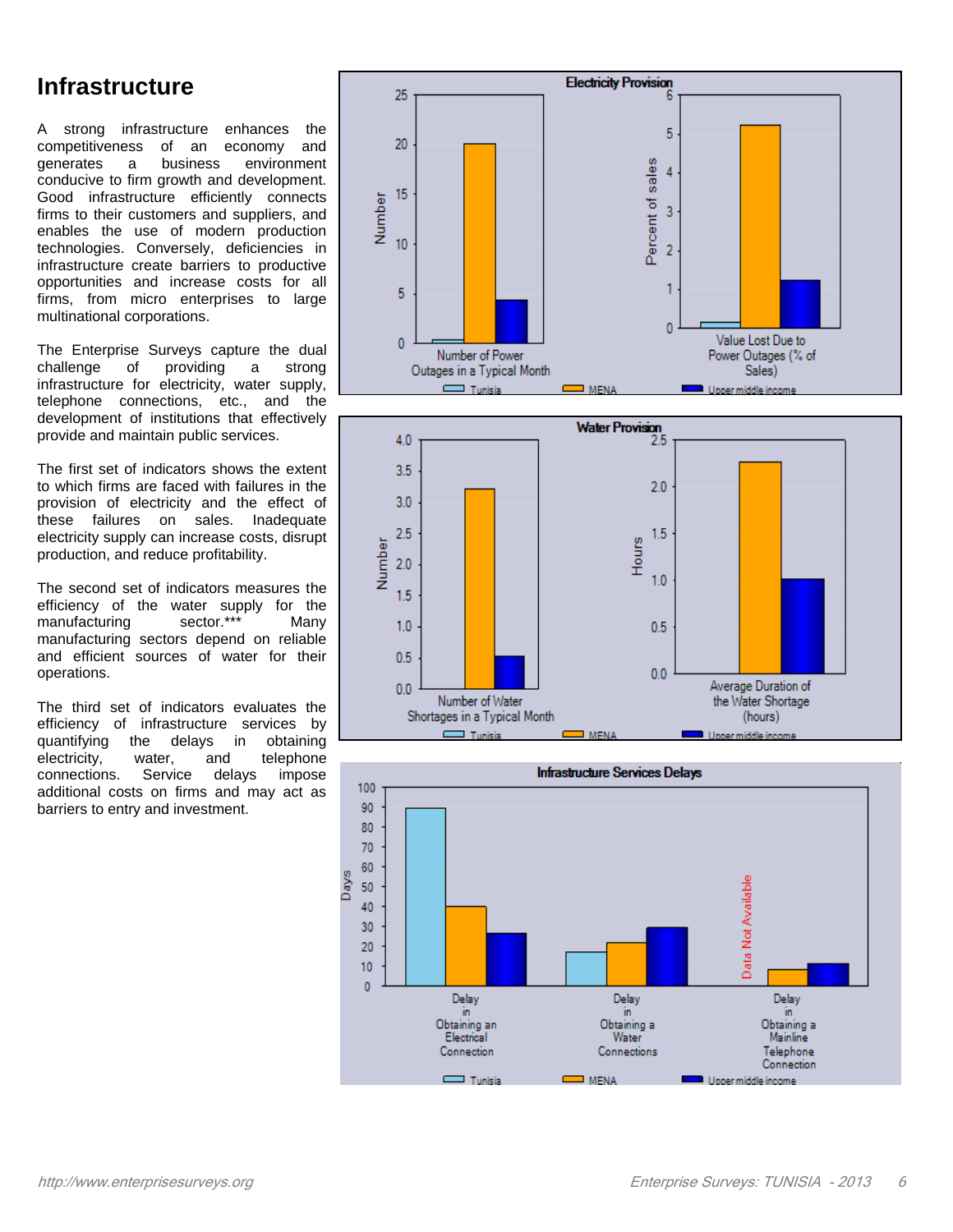#### **Infrastructure**

A strong infrastructure enhances the competitiveness of an economy and generates a business environment conducive to firm growth and development. Good infrastructure efficiently connects firms to their customers and suppliers, and enables the use of modern production technologies. Conversely, deficiencies in infrastructure create barriers to productive opportunities and increase costs for all firms, from micro enterprises to large multinational corporations.

The Enterprise Surveys capture the dual challenge of providing a strong infrastructure for electricity, water supply, telephone connections, etc., and the development of institutions that effectively provide and maintain public services.

The first set of indicators shows the extent to which firms are faced with failures in the provision of electricity and the effect of these failures on sales. Inadequate electricity supply can increase costs, disrupt production, and reduce profitability.

The second set of indicators measures the efficiency of the water supply for the<br>manufacturing sector.\*\*\* Many manufacturing sector.\*\*\* Many manufacturing sectors depend on reliable and efficient sources of water for their operations.

The third set of indicators evaluates the efficiency of infrastructure services by quantifying the delays in obtaining electricity, water, and telephone connections. Service delays impose additional costs on firms and may act as barriers to entry and investment.





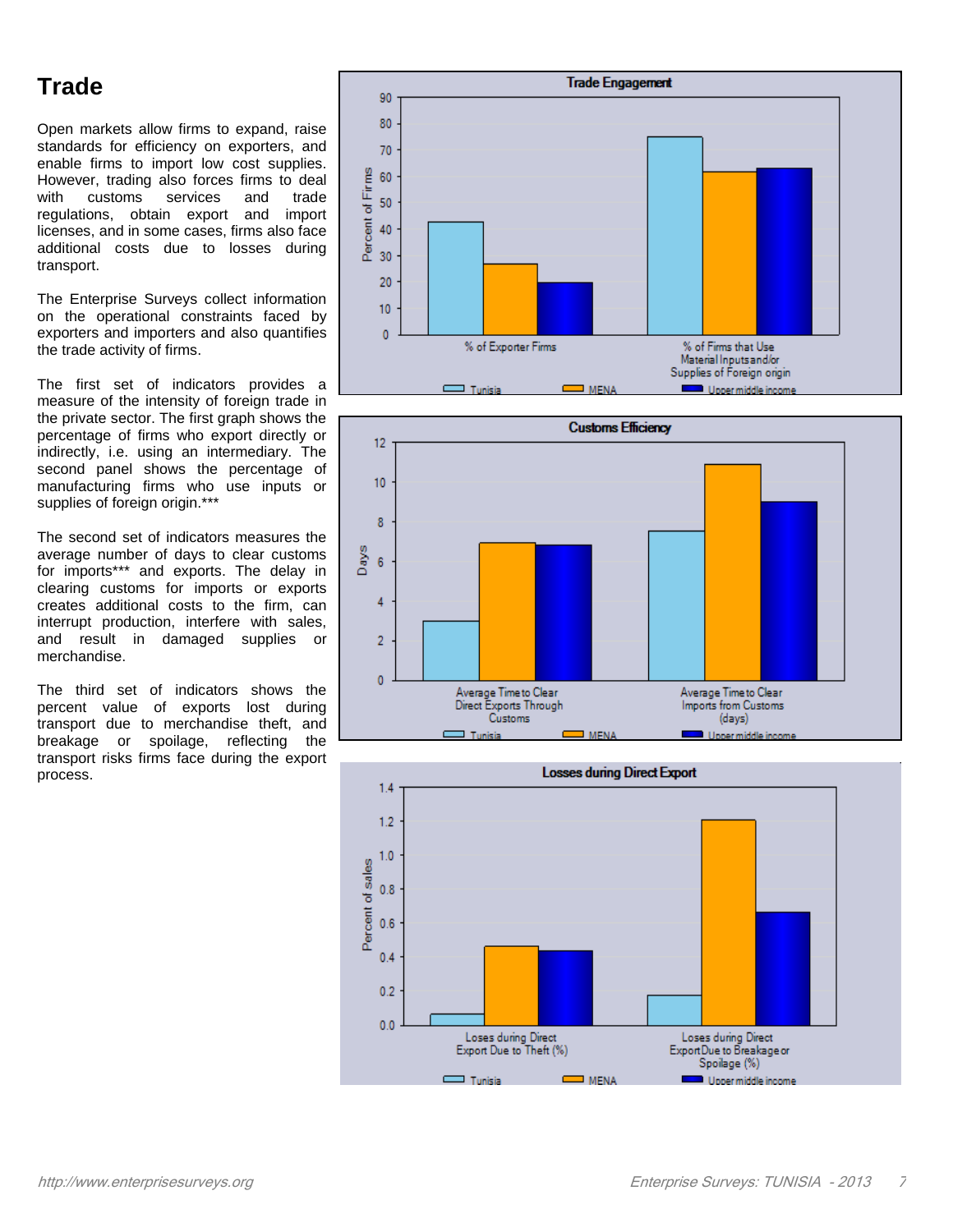### **Trade**

Open markets allow firms to expand, raise standards for efficiency on exporters, and enable firms to import low cost supplies. However, trading also forces firms to deal with customs services and trade regulations, obtain export and import licenses, and in some cases, firms also face additional costs due to losses during transport.

The Enterprise Surveys collect information on the operational constraints faced by exporters and importers and also quantifies the trade activity of firms.

The first set of indicators provides a measure of the intensity of foreign trade in the private sector. The first graph shows the percentage of firms who export directly or indirectly, i.e. using an intermediary. The second panel shows the percentage of manufacturing firms who use inputs or supplies of foreign origin.\*\*\*

The second set of indicators measures the average number of days to clear customs for imports\*\*\* and exports. The delay in clearing customs for imports or exports creates additional costs to the firm, can interrupt production, interfere with sales, and result in damaged supplies or merchandise.

The third set of indicators shows the percent value of exports lost during transport due to merchandise theft, and breakage or spoilage, reflecting the transport risks firms face during the export process.





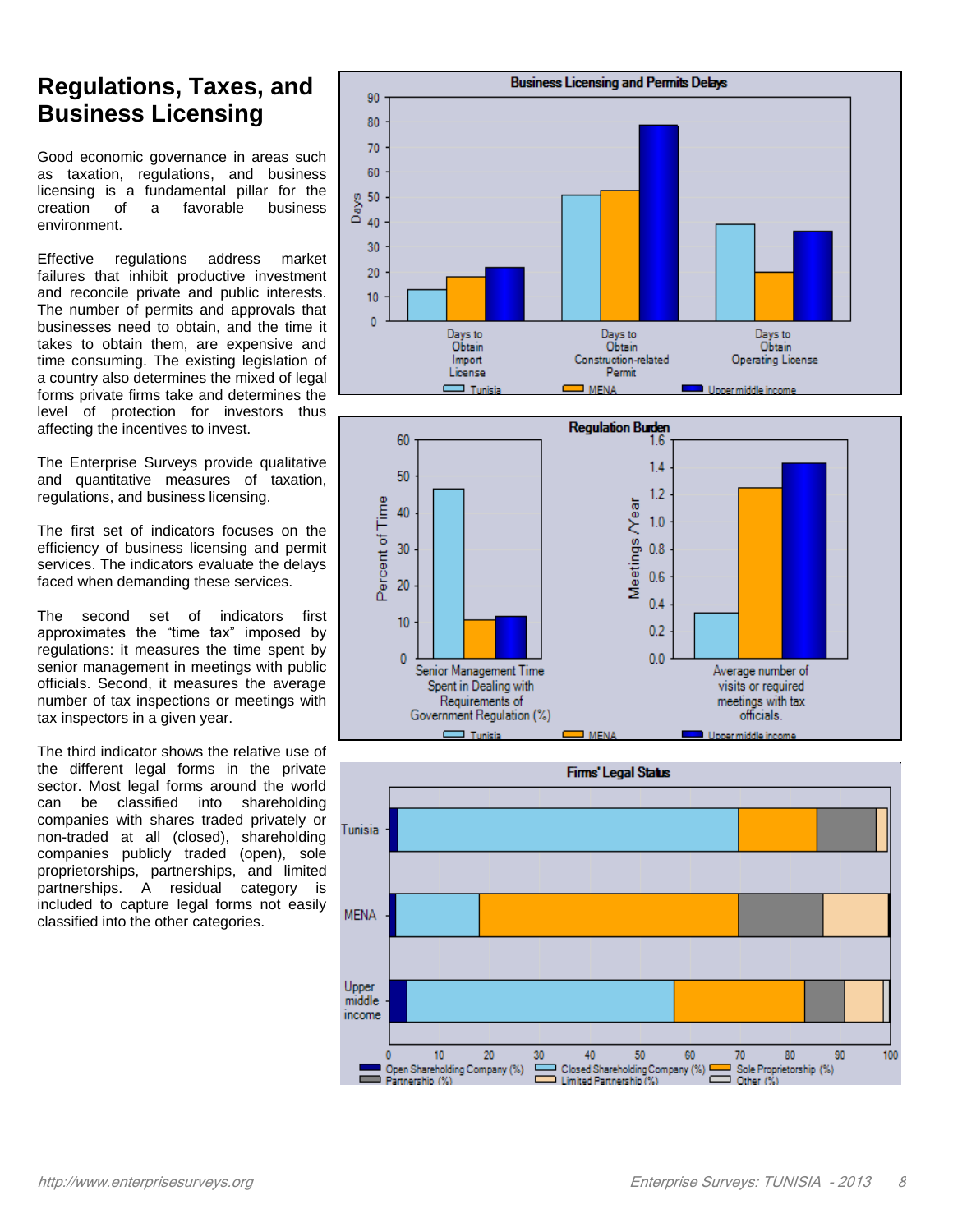#### **Regulations, Taxes, and Business Licensing**

Good economic governance in areas such as taxation, regulations, and business licensing is a fundamental pillar for the creation of a favorable business environment.

Effective regulations address market failures that inhibit productive investment and reconcile private and public interests. The number of permits and approvals that businesses need to obtain, and the time it takes to obtain them, are expensive and time consuming. The existing legislation of a country also determines the mixed of legal forms private firms take and determines the level of protection for investors thus affecting the incentives to invest.

The Enterprise Surveys provide qualitative and quantitative measures of taxation, regulations, and business licensing.

The first set of indicators focuses on the efficiency of business licensing and permit services. The indicators evaluate the delays faced when demanding these services.

The second set of indicators first approximates the "time tax" imposed by regulations: it measures the time spent by senior management in meetings with public officials. Second, it measures the average number of tax inspections or meetings with tax inspectors in a given year.

The third indicator shows the relative use of the different legal forms in the private sector. Most legal forms around the world can be classified into shareholding companies with shares traded privately or non-traded at all (closed), shareholding companies publicly traded (open), sole proprietorships, partnerships, and limited partnerships. A residual category is included to capture legal forms not easily classified into the other categories.





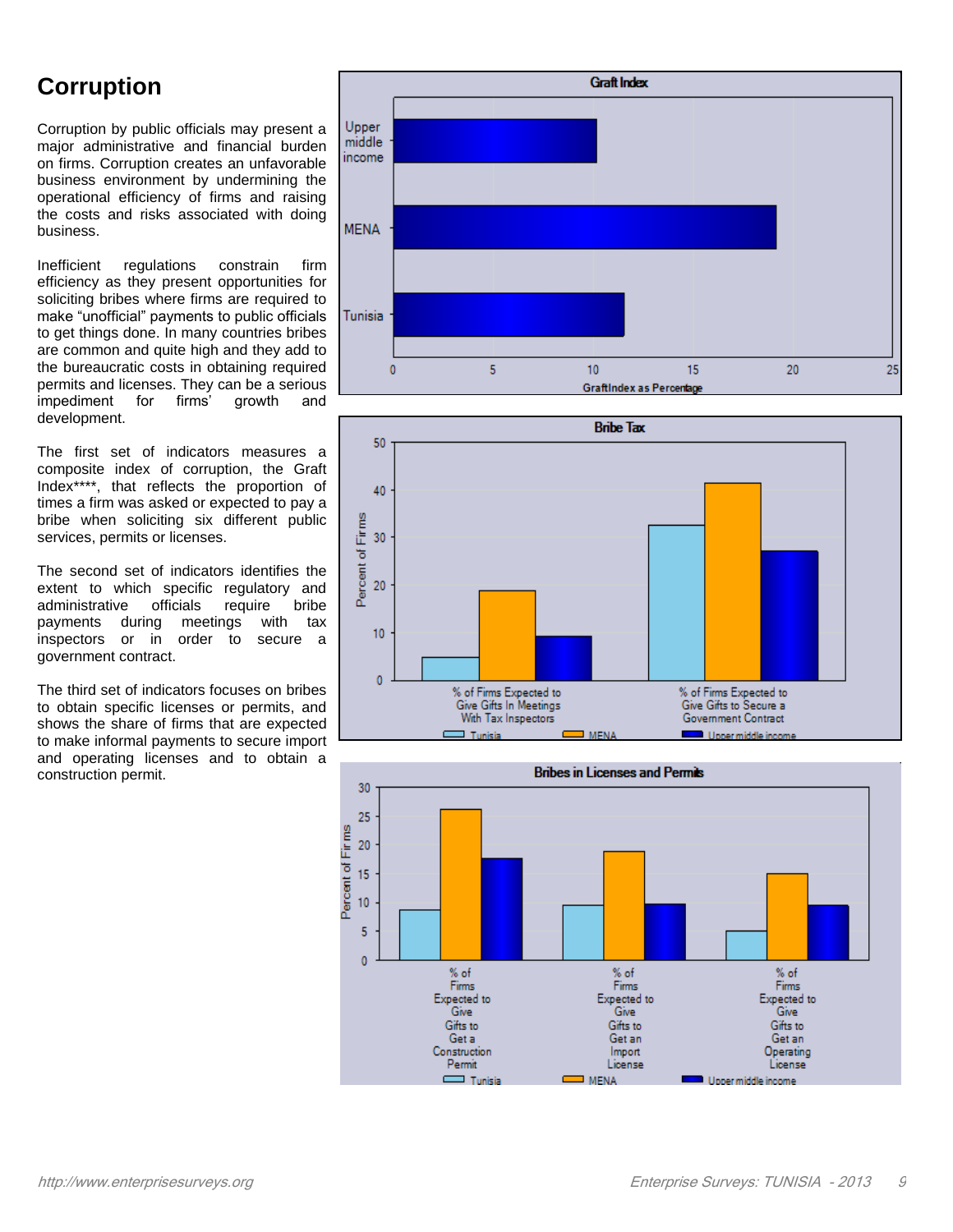#### **Corruption**

Corruption by public officials may present a major administrative and financial burden on firms. Corruption creates an unfavorable business environment by undermining the operational efficiency of firms and raising the costs and risks associated with doing business.

Inefficient regulations constrain firm efficiency as they present opportunities for soliciting bribes where firms are required to make "unofficial" payments to public officials to get things done. In many countries bribes are common and quite high and they add to the bureaucratic costs in obtaining required permits and licenses. They can be a serious<br>impediment for firms' growth and impediment for firms' growth and development.

The first set of indicators measures a composite index of corruption, the Graft Index\*\*\*\*, that reflects the proportion of times a firm was asked or expected to pay a bribe when soliciting six different public services, permits or licenses.

The second set of indicators identifies the extent to which specific regulatory and administrative officials require bribe payments during meetings with tax inspectors or in order to secure a government contract.

The third set of indicators focuses on bribes to obtain specific licenses or permits, and shows the share of firms that are expected to make informal payments to secure import and operating licenses and to obtain a construction permit.





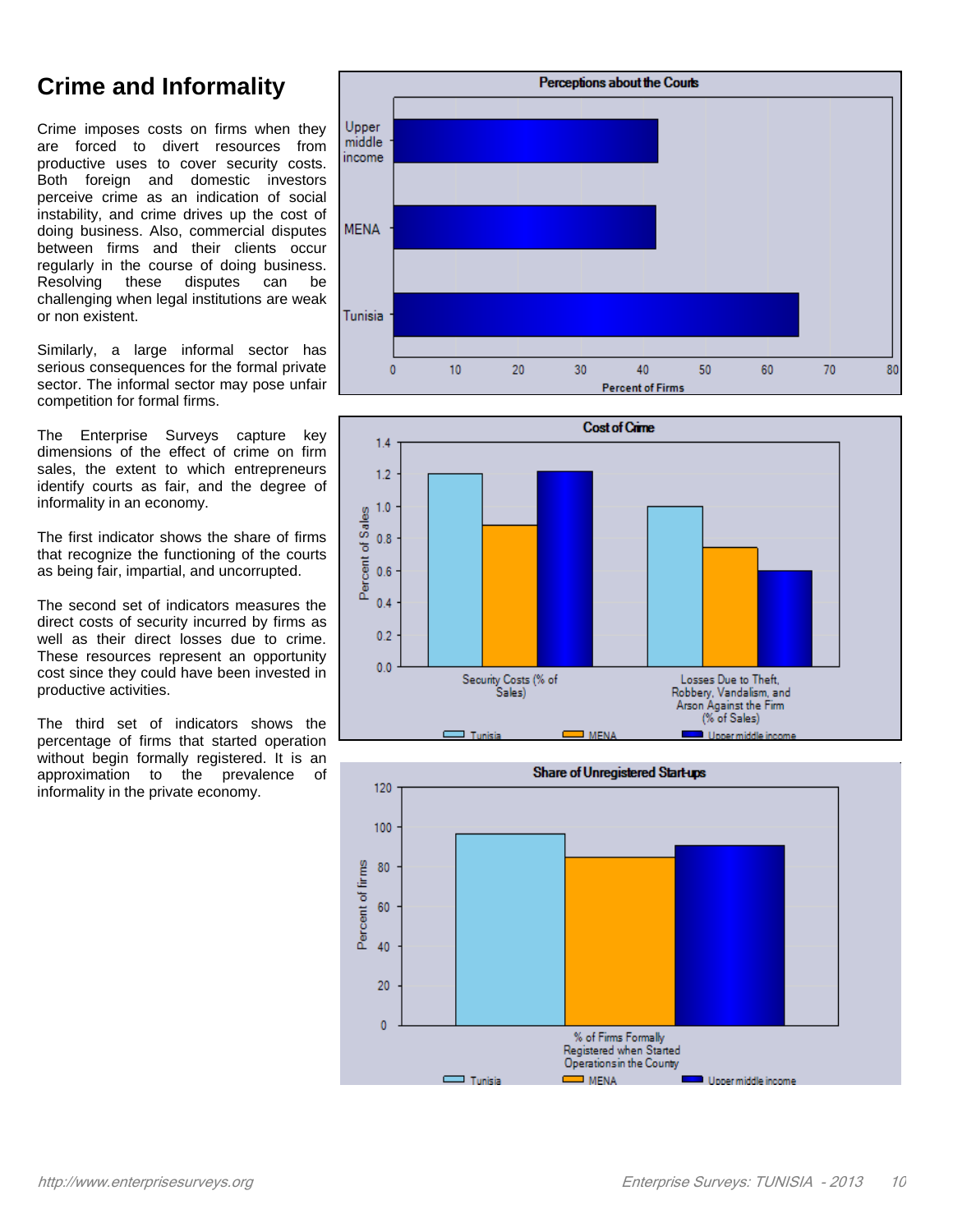## **Crime and Informality**

Crime imposes costs on firms when they are forced to divert resources from productive uses to cover security costs. Both foreign and domestic investors perceive crime as an indication of social instability, and crime drives up the cost of doing business. Also, commercial disputes between firms and their clients occur regularly in the course of doing business.<br>Resolving these disputes can be Resolving these disputes can be challenging when legal institutions are weak or non existent.

Similarly, a large informal sector has serious consequences for the formal private sector. The informal sector may pose unfair competition for formal firms.

The Enterprise Surveys capture key dimensions of the effect of crime on firm sales, the extent to which entrepreneurs identify courts as fair, and the degree of informality in an economy.

The first indicator shows the share of firms that recognize the functioning of the courts as being fair, impartial, and uncorrupted.

The second set of indicators measures the direct costs of security incurred by firms as well as their direct losses due to crime. These resources represent an opportunity cost since they could have been invested in productive activities.

The third set of indicators shows the percentage of firms that started operation without begin formally registered. It is an approximation to the prevalence of informality in the private economy.





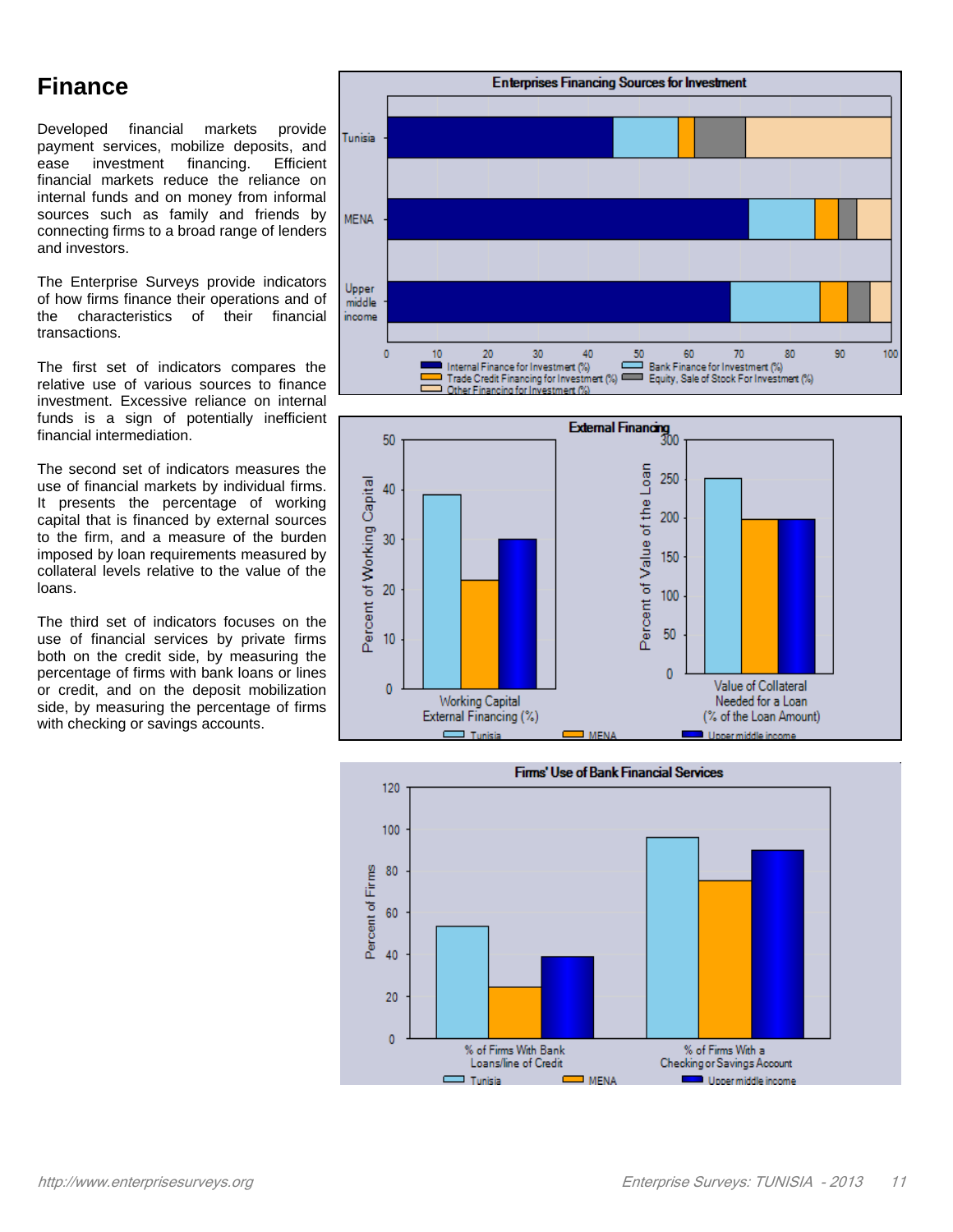#### **Finance**

Developed financial markets provide payment services, mobilize deposits, and ease investment financing. Efficient financial markets reduce the reliance on internal funds and on money from informal sources such as family and friends by connecting firms to a broad range of lenders and investors.

The Enterprise Surveys provide indicators of how firms finance their operations and of<br>the characteristics of their financial the characteristics of their financial transactions.

The first set of indicators compares the relative use of various sources to finance investment. Excessive reliance on internal funds is a sign of potentially inefficient financial intermediation.

The second set of indicators measures the use of financial markets by individual firms. It presents the percentage of working capital that is financed by external sources to the firm, and a measure of the burden imposed by loan requirements measured by collateral levels relative to the value of the loans.

The third set of indicators focuses on the use of financial services by private firms both on the credit side, by measuring the percentage of firms with bank loans or lines or credit, and on the deposit mobilization side, by measuring the percentage of firms with checking or savings accounts.





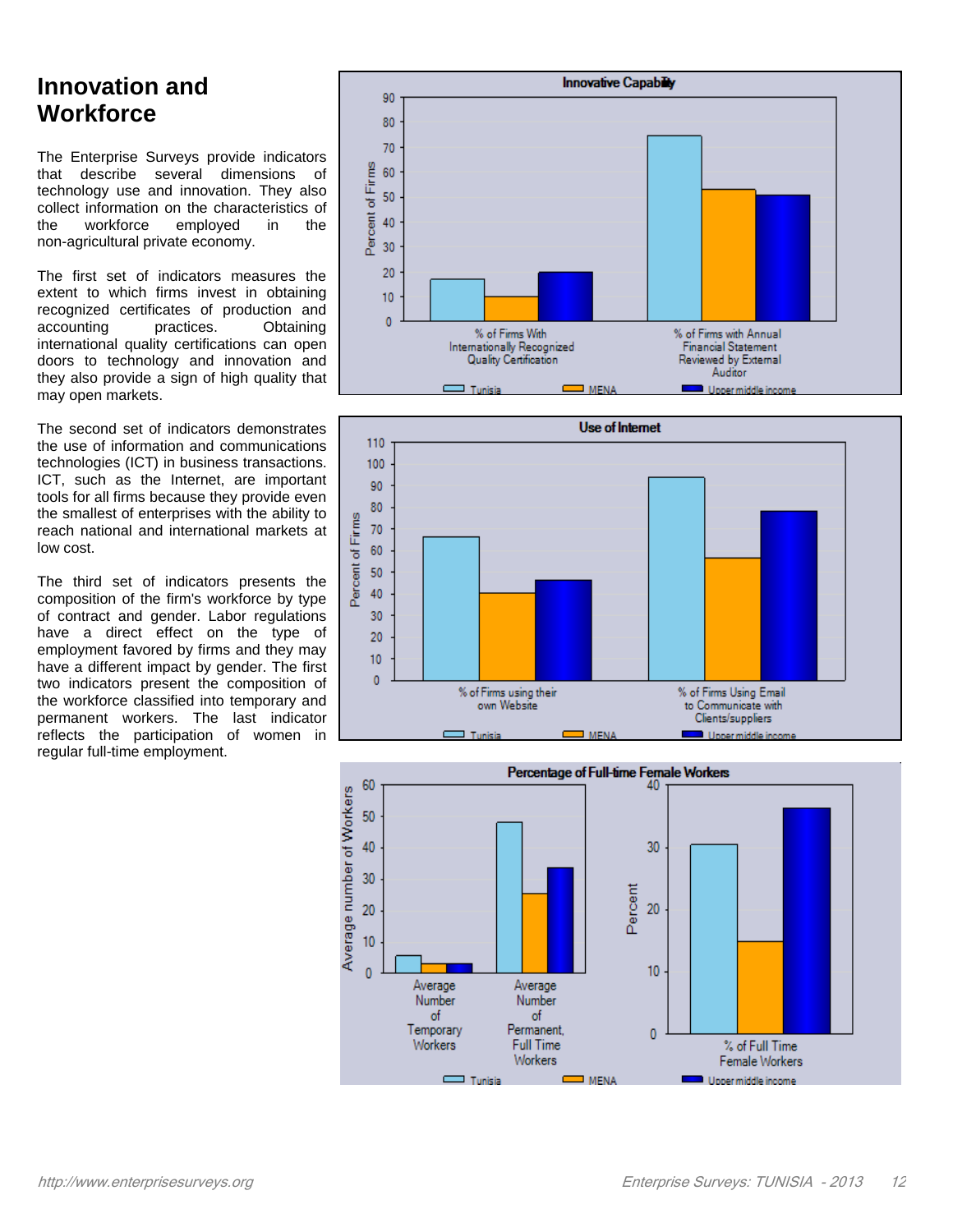#### **Innovation and Workforce**

The Enterprise Surveys provide indicators that describe several dimensions of technology use and innovation. They also collect information on the characteristics of<br>the workforce employed in the the workforce employed in the non-agricultural private economy.

The first set of indicators measures the extent to which firms invest in obtaining recognized certificates of production and accounting practices. Obtaining international quality certifications can open doors to technology and innovation and they also provide a sign of high quality that may open markets.

The second set of indicators demonstrates the use of information and communications technologies (ICT) in business transactions. ICT, such as the Internet, are important tools for all firms because they provide even the smallest of enterprises with the ability to reach national and international markets at low cost.

The third set of indicators presents the composition of the firm's workforce by type of contract and gender. Labor regulations have a direct effect on the type of employment favored by firms and they may have a different impact by gender. The first two indicators present the composition of the workforce classified into temporary and permanent workers. The last indicator reflects the participation of women in regular full-time employment.





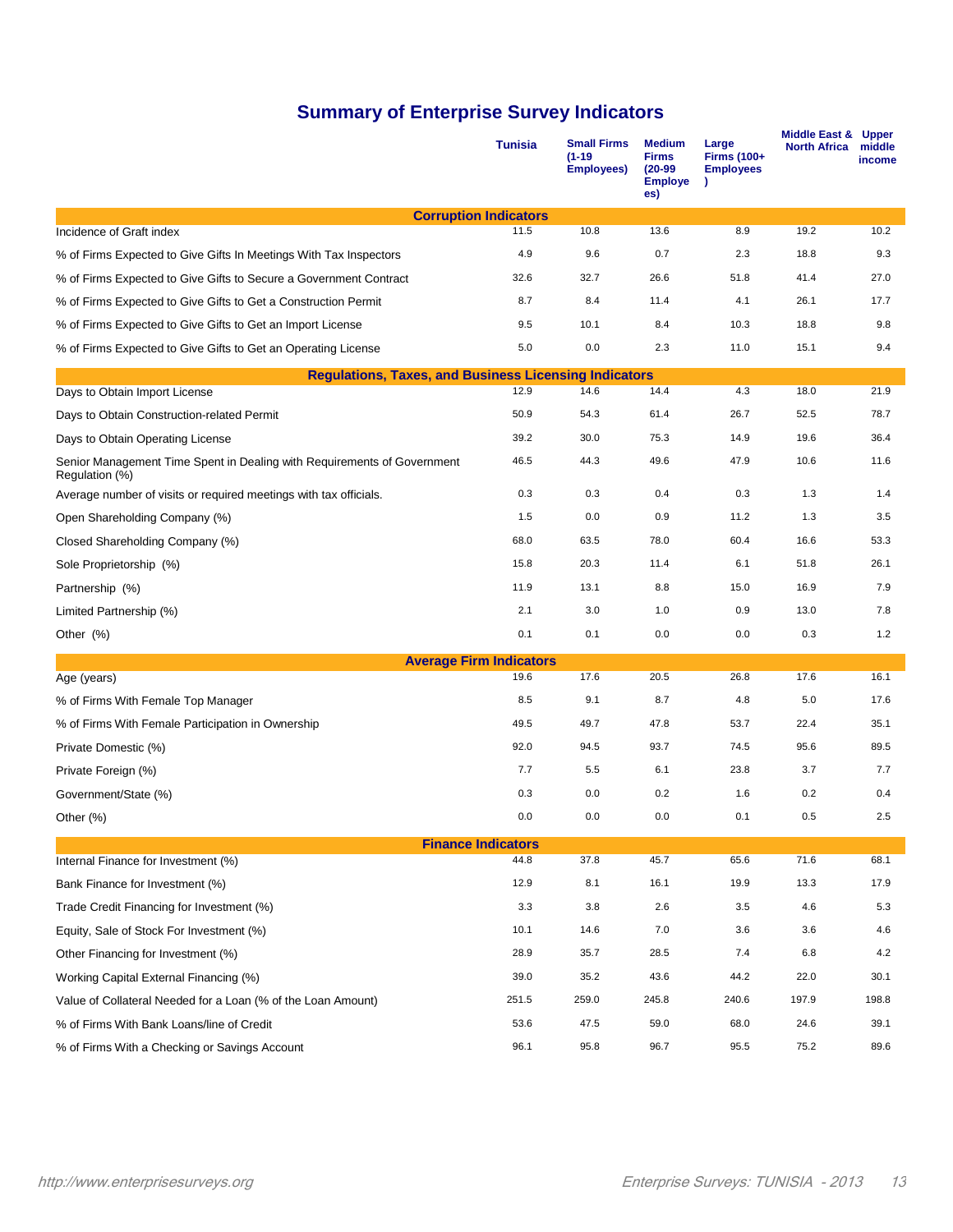#### **Summary of Enterprise Survey Indicators**

|                                                                                           | <b>Tunisia</b>                    | <b>Small Firms</b><br>$(1-19)$<br><b>Employees)</b> | <b>Medium</b><br><b>Firms</b><br>$(20-99)$<br><b>Employe</b><br>es) | Large<br><b>Firms (100+</b><br><b>Employees</b> | Middle East &<br><b>North Africa</b> | <b>Upper</b><br>middle<br>income |
|-------------------------------------------------------------------------------------------|-----------------------------------|-----------------------------------------------------|---------------------------------------------------------------------|-------------------------------------------------|--------------------------------------|----------------------------------|
|                                                                                           | <b>Corruption Indicators</b>      |                                                     |                                                                     |                                                 |                                      |                                  |
| Incidence of Graft index                                                                  | 11.5                              | 10.8                                                | 13.6                                                                | 8.9                                             | 19.2                                 | 10.2                             |
| % of Firms Expected to Give Gifts In Meetings With Tax Inspectors                         | 4.9                               | 9.6                                                 | 0.7                                                                 | 2.3                                             | 18.8                                 | 9.3                              |
| % of Firms Expected to Give Gifts to Secure a Government Contract                         | 32.6                              | 32.7                                                | 26.6                                                                | 51.8                                            | 41.4                                 | 27.0                             |
| % of Firms Expected to Give Gifts to Get a Construction Permit                            | 8.7                               | 8.4                                                 | 11.4                                                                | 4.1                                             | 26.1                                 | 17.7                             |
| % of Firms Expected to Give Gifts to Get an Import License                                | 9.5                               | 10.1                                                | 8.4                                                                 | 10.3                                            | 18.8                                 | 9.8                              |
| % of Firms Expected to Give Gifts to Get an Operating License                             | 5.0                               | 0.0                                                 | 2.3                                                                 | 11.0                                            | 15.1                                 | 9.4                              |
| <b>Regulations, Taxes, and Business Licensing Indicators</b>                              |                                   |                                                     |                                                                     |                                                 |                                      |                                  |
| Days to Obtain Import License                                                             | 12.9                              | 14.6                                                | 14.4                                                                | 4.3                                             | 18.0                                 | 21.9                             |
| Days to Obtain Construction-related Permit                                                | 50.9                              | 54.3                                                | 61.4                                                                | 26.7                                            | 52.5                                 | 78.7                             |
| Days to Obtain Operating License                                                          | 39.2                              | 30.0                                                | 75.3                                                                | 14.9                                            | 19.6                                 | 36.4                             |
| Senior Management Time Spent in Dealing with Requirements of Government<br>Regulation (%) | 46.5                              | 44.3                                                | 49.6                                                                | 47.9                                            | 10.6                                 | 11.6                             |
| Average number of visits or required meetings with tax officials.                         | 0.3                               | 0.3                                                 | 0.4                                                                 | 0.3                                             | 1.3                                  | 1.4                              |
| Open Shareholding Company (%)                                                             | 1.5                               | 0.0                                                 | 0.9                                                                 | 11.2                                            | 1.3                                  | 3.5                              |
| Closed Shareholding Company (%)                                                           | 68.0                              | 63.5                                                | 78.0                                                                | 60.4                                            | 16.6                                 | 53.3                             |
| Sole Proprietorship (%)                                                                   | 15.8                              | 20.3                                                | 11.4                                                                | 6.1                                             | 51.8                                 | 26.1                             |
| Partnership (%)                                                                           | 11.9                              | 13.1                                                | 8.8                                                                 | 15.0                                            | 16.9                                 | 7.9                              |
| Limited Partnership (%)                                                                   | 2.1                               | 3.0                                                 | 1.0                                                                 | 0.9                                             | 13.0                                 | 7.8                              |
| Other $(\%)$                                                                              | 0.1                               | 0.1                                                 | 0.0                                                                 | 0.0                                             | 0.3                                  | 1.2                              |
| <b>Average Firm Indicators</b>                                                            |                                   |                                                     |                                                                     |                                                 |                                      |                                  |
| Age (years)                                                                               | 19.6                              | 17.6                                                | 20.5                                                                | 26.8                                            | 17.6                                 | 16.1                             |
| % of Firms With Female Top Manager                                                        | 8.5                               | 9.1                                                 | 8.7                                                                 | 4.8                                             | 5.0                                  | 17.6                             |
| % of Firms With Female Participation in Ownership                                         | 49.5                              | 49.7                                                | 47.8                                                                | 53.7                                            | 22.4                                 | 35.1                             |
| Private Domestic (%)                                                                      | 92.0                              | 94.5                                                | 93.7                                                                | 74.5                                            | 95.6                                 | 89.5                             |
| Private Foreign (%)                                                                       | 7.7                               | 5.5                                                 | 6.1                                                                 | 23.8                                            | 3.7                                  | 7.7                              |
| Government/State (%)                                                                      | 0.3                               | 0.0                                                 | 0.2                                                                 | 1.6                                             | 0.2                                  | 0.4                              |
| Other (%)                                                                                 | 0.0                               | 0.0                                                 | 0.0                                                                 | 0.1                                             | 0.5                                  | 2.5                              |
|                                                                                           | <b>Finance Indicators</b><br>44.8 | 37.8                                                | 45.7                                                                | 65.6                                            | 71.6                                 | 68.1                             |
| Internal Finance for Investment (%)                                                       |                                   |                                                     |                                                                     |                                                 |                                      |                                  |
| Bank Finance for Investment (%)                                                           | 12.9                              | 8.1                                                 | 16.1                                                                | 19.9                                            | 13.3                                 | 17.9                             |
| Trade Credit Financing for Investment (%)                                                 | 3.3                               | 3.8                                                 | 2.6                                                                 | 3.5                                             | 4.6                                  | 5.3                              |
| Equity, Sale of Stock For Investment (%)                                                  | 10.1                              | 14.6                                                | 7.0                                                                 | 3.6                                             | 3.6                                  | 4.6                              |
| Other Financing for Investment (%)                                                        | 28.9                              | 35.7                                                | 28.5                                                                | 7.4                                             | 6.8                                  | 4.2                              |
| Working Capital External Financing (%)                                                    | 39.0                              | 35.2                                                | 43.6                                                                | 44.2                                            | 22.0                                 | 30.1                             |
| Value of Collateral Needed for a Loan (% of the Loan Amount)                              | 251.5                             | 259.0                                               | 245.8                                                               | 240.6                                           | 197.9                                | 198.8                            |
| % of Firms With Bank Loans/line of Credit                                                 | 53.6                              | 47.5                                                | 59.0                                                                | 68.0                                            | 24.6                                 | 39.1                             |
| % of Firms With a Checking or Savings Account                                             | 96.1                              | 95.8                                                | 96.7                                                                | 95.5                                            | 75.2                                 | 89.6                             |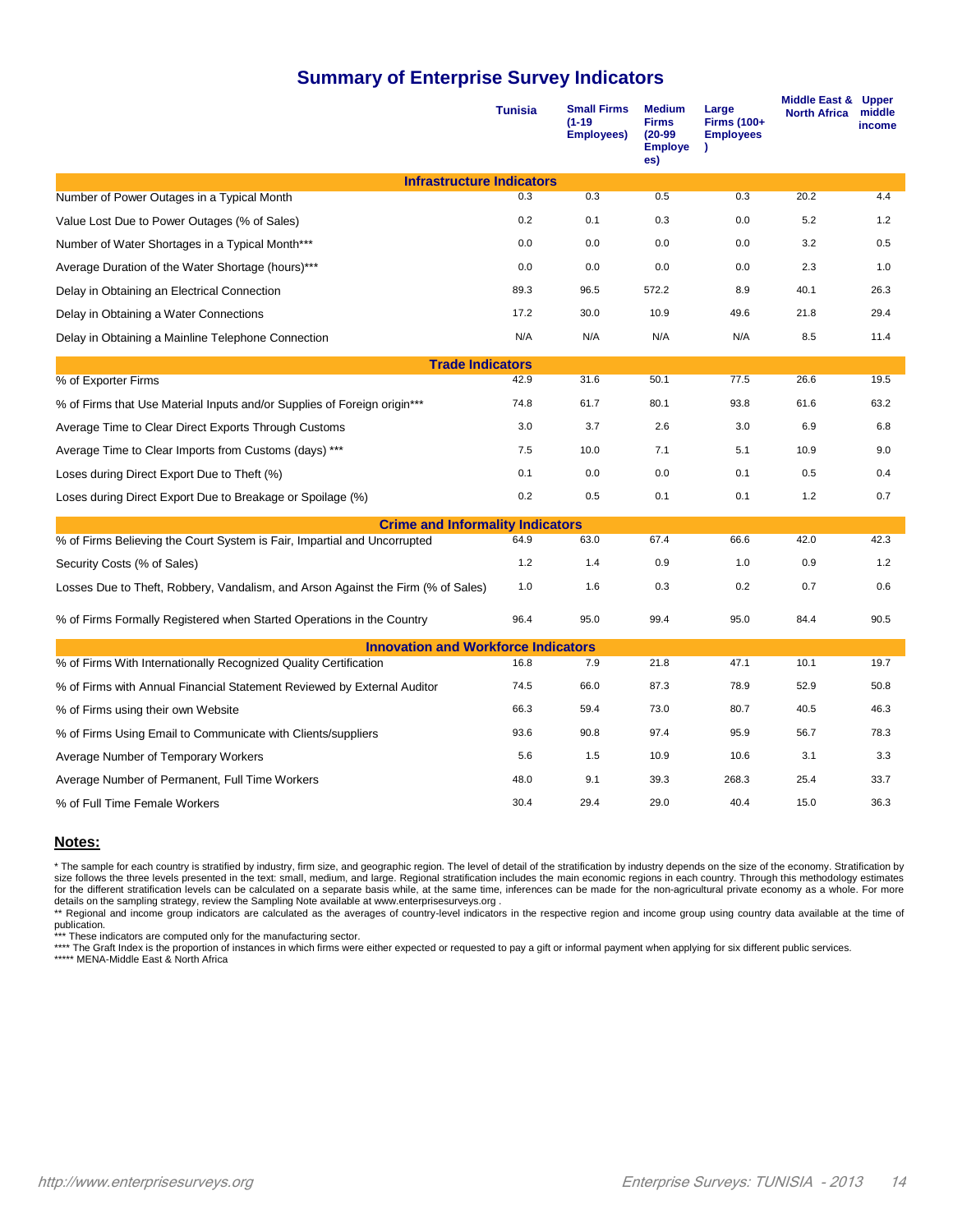#### **Summary of Enterprise Survey Indicators**

|                                                                                  | <b>Tunisia</b> | <b>Small Firms</b><br>$(1 - 19)$<br><b>Employees)</b> | <b>Medium</b><br><b>Firms</b><br>$(20-99)$<br><b>Employe</b><br>es) | Large<br><b>Firms (100+</b><br><b>Employees</b> | Middle East & Upper<br><b>North Africa</b> | middle<br>income |
|----------------------------------------------------------------------------------|----------------|-------------------------------------------------------|---------------------------------------------------------------------|-------------------------------------------------|--------------------------------------------|------------------|
| <b>Infrastructure Indicators</b>                                                 |                |                                                       |                                                                     |                                                 |                                            |                  |
| Number of Power Outages in a Typical Month                                       | 0.3            | 0.3                                                   | 0.5                                                                 | 0.3                                             | 20.2                                       | 4.4              |
| Value Lost Due to Power Outages (% of Sales)                                     | 0.2            | 0.1                                                   | 0.3                                                                 | 0.0                                             | 5.2                                        | 1.2              |
| Number of Water Shortages in a Typical Month***                                  | 0.0            | 0.0                                                   | 0.0                                                                 | 0.0                                             | 3.2                                        | 0.5              |
| Average Duration of the Water Shortage (hours)***                                | 0.0            | 0.0                                                   | 0.0                                                                 | 0.0                                             | 2.3                                        | 1.0              |
| Delay in Obtaining an Electrical Connection                                      | 89.3           | 96.5                                                  | 572.2                                                               | 8.9                                             | 40.1                                       | 26.3             |
| Delay in Obtaining a Water Connections                                           | 17.2           | 30.0                                                  | 10.9                                                                | 49.6                                            | 21.8                                       | 29.4             |
| Delay in Obtaining a Mainline Telephone Connection                               | N/A            | N/A                                                   | N/A                                                                 | N/A                                             | 8.5                                        | 11.4             |
| <b>Trade Indicators</b>                                                          |                |                                                       |                                                                     |                                                 |                                            |                  |
| % of Exporter Firms                                                              | 42.9           | 31.6                                                  | 50.1                                                                | 77.5                                            | 26.6                                       | 19.5             |
| % of Firms that Use Material Inputs and/or Supplies of Foreign origin***         | 74.8           | 61.7                                                  | 80.1                                                                | 93.8                                            | 61.6                                       | 63.2             |
| Average Time to Clear Direct Exports Through Customs                             | 3.0            | 3.7                                                   | 2.6                                                                 | 3.0                                             | 6.9                                        | 6.8              |
| Average Time to Clear Imports from Customs (days) ***                            | 7.5            | 10.0                                                  | 7.1                                                                 | 5.1                                             | 10.9                                       | 9.0              |
| Loses during Direct Export Due to Theft (%)                                      | 0.1            | 0.0                                                   | 0.0                                                                 | 0.1                                             | 0.5                                        | 0.4              |
| Loses during Direct Export Due to Breakage or Spoilage (%)                       | 0.2            | 0.5                                                   | 0.1                                                                 | 0.1                                             | 1.2                                        | 0.7              |
| <b>Crime and Informality Indicators</b>                                          |                |                                                       |                                                                     |                                                 |                                            |                  |
| % of Firms Believing the Court System is Fair, Impartial and Uncorrupted         | 64.9           | 63.0                                                  | 67.4                                                                | 66.6                                            | 42.0                                       | 42.3             |
| Security Costs (% of Sales)                                                      | $1.2$          | 1.4                                                   | 0.9                                                                 | 1.0                                             | 0.9                                        | 1.2              |
| Losses Due to Theft, Robbery, Vandalism, and Arson Against the Firm (% of Sales) | 1.0            | 1.6                                                   | 0.3                                                                 | 0.2                                             | 0.7                                        | 0.6              |
| % of Firms Formally Registered when Started Operations in the Country            | 96.4           | 95.0                                                  | 99.4                                                                | 95.0                                            | 84.4                                       | 90.5             |
| <b>Innovation and Workforce Indicators</b>                                       |                |                                                       |                                                                     |                                                 |                                            |                  |
| % of Firms With Internationally Recognized Quality Certification                 | 16.8           | 7.9                                                   | 21.8                                                                | 47.1                                            | 10.1                                       | 19.7             |
| % of Firms with Annual Financial Statement Reviewed by External Auditor          | 74.5           | 66.0                                                  | 87.3                                                                | 78.9                                            | 52.9                                       | 50.8             |
| % of Firms using their own Website                                               | 66.3           | 59.4                                                  | 73.0                                                                | 80.7                                            | 40.5                                       | 46.3             |
| % of Firms Using Email to Communicate with Clients/suppliers                     | 93.6           | 90.8                                                  | 97.4                                                                | 95.9                                            | 56.7                                       | 78.3             |
| Average Number of Temporary Workers                                              | 5.6            | 1.5                                                   | 10.9                                                                | 10.6                                            | 3.1                                        | 3.3              |
| Average Number of Permanent, Full Time Workers                                   | 48.0           | 9.1                                                   | 39.3                                                                | 268.3                                           | 25.4                                       | 33.7             |
| % of Full Time Female Workers                                                    | 30.4           | 29.4                                                  | 29.0                                                                | 40.4                                            | 15.0                                       | 36.3             |

#### **Notes:**

\* The sample for each country is stratified by industry, firm size, and geographic region. The level of detail of the stratification by industry depends on the size of the economy. Stratification by size follows the three levels presented in the text: small, medium, and large. Regional stratification includes the main economic regions in each country. Through this methodology estimates for the different stratification levels can be calculated on a separate basis while, at the same time, inferences can be made for the non-agricultural private economy as a whole. For more

details on the sampling strategy, review the Sampling Note available at www.enterprisesurveys.org .<br>\*\* Regional and income group indicators are calculated as the averages of country-level indicators in the respective regio

publication.<br>\*\*\* These indicators are computed only for the manufacturing sector.<br>\*\*\*\* The Graft Index is the proportion of instances in which firms were either expected or requested to pay a gift or informal payment when \*\*\*\*\* MENA-Middle East & North Africa